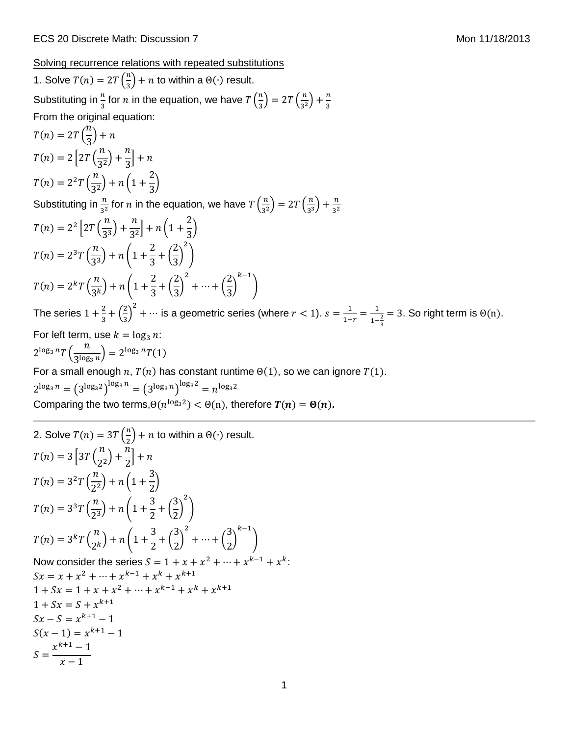Solving recurrence relations with repeated substitutions

1. Solve  $T(n) = 2T\left(\frac{n}{2}\right)$  $\frac{\pi}{3}$  + *n* to within a  $\Theta(\cdot)$  result. Substituting in  $\frac{n}{3}$  for  $n$  in the equation, we have  $T\Big(\frac{n}{3}\Big)$  $\left(\frac{n}{3}\right) = 2T\left(\frac{n}{3^2}\right)$  $\frac{n}{3^2}\bigg)+\frac{n}{3}$ 3 From the original equation:  $T(n) = 2T$  (  $\overline{n}$  $\frac{1}{3}$  + n  $T(n) = 2 |2T|$  $\boldsymbol{n}$  $\frac{1}{3^2}$  +  $\boldsymbol{n}$  $\frac{1}{3}$  + n  $T(n) = 2^2 T \left( \frac{n}{2^2} \right)$  $\frac{1}{3^2}$ ) + n (1 + 2  $\frac{1}{3}$ Substituting in  $\frac{n}{3^2}$  for  $n$  in the equation, we have  $T\left(\frac{n}{3^2}\right)$  $\left(\frac{n}{3^2}\right) = 2T\left(\frac{n}{3^3}\right)$  $\frac{n}{3^3}$  +  $\frac{n}{3^2}$ 3 2  $T(n) = 2^2 | 2T ($  $\boldsymbol{n}$  $\frac{1}{3^3}$  +  $\boldsymbol{n}$  $\frac{1}{3^2}$  + n (1 + 2  $\frac{1}{3}$  $T(n) = 2^{3}T(\frac{n}{2^{3}})$  $\frac{1}{3^3}$  + n (1+) 2  $\frac{1}{3}$  + ( 2  $\frac{1}{3}$ 2 )  $T(n) = 2<sup>k</sup> T(\frac{n}{2k})$  $\frac{1}{3^k}$ ) + n (1 + 2  $\frac{1}{3}$  +  $($ 2  $\frac{1}{3}$ 2  $+ \cdots + ($ 2  $\frac{1}{3}$  $k-1$ ) The series  $1+\frac{2}{3}$  $rac{2}{3} + \left(\frac{2}{3}\right)$  $\left(\frac{2}{3}\right)^2$  + ... is a geometric series (where  $r < 1$ ).  $s = \frac{1}{1-\epsilon}$  $\frac{1}{1-r} = \frac{1}{1-r}$  $1-\frac{2}{3}$ 3  $= 3$ . So right term is  $\Theta(n)$ . For left term, use  $k = \log_3 n$ :  $2^{\log_3 n}T\left(\frac{n}{2^{\log_3 n}}\right)$  $\frac{n}{3^{\log_3 n}} = 2^{\log_3 n} T(1)$ For a small enough  $n, T(n)$  has constant runtime  $\Theta(1)$ , so we can ignore  $T(1)$ .  $2^{\log_3 n} = (3^{\log_3 2})^{\log_3 n} = (3^{\log_3 n})^{\log_3 2} = n^{\log_3 2}$ Comparing the two terms, $\Theta(n^{\log_3 2}) < \Theta(n)$ , therefore  $T(n) = \Theta(n)$ .

2. Solve 
$$
T(n) = 3T(\frac{n}{2}) + n
$$
 to within a  $\Theta(\cdot)$  result.  
\n
$$
T(n) = 3\left[3T(\frac{n}{2^2}) + \frac{n}{2}\right] + n
$$
\n
$$
T(n) = 3^2T(\frac{n}{2^2}) + n\left(1 + \frac{3}{2}\right)
$$
\n
$$
T(n) = 3^3T(\frac{n}{2^3}) + n\left(1 + \frac{3}{2} + (\frac{3}{2})^2\right)
$$
\n
$$
T(n) = 3^kT(\frac{n}{2^k}) + n\left(1 + \frac{3}{2} + (\frac{3}{2})^2 + \dots + (\frac{3}{2})^{k-1}\right)
$$
\nNow consider the series  $S = 1 + x + x^2 + \dots + x^{k-1} + x^k$ :  
\n $Sx = x + x^2 + \dots + x^{k-1} + x^k + x^{k+1}$   
\n $1 + Sx = 1 + x + x^2 + \dots + x^{k-1} + x^k + x^{k+1}$   
\n $1 + Sx = S + x^{k+1}$   
\n $Sx - S = x^{k+1} - 1$   
\n $S(x - 1) = x^{k+1} - 1$   
\n $S = \frac{x^{k+1} - 1}{x - 1}$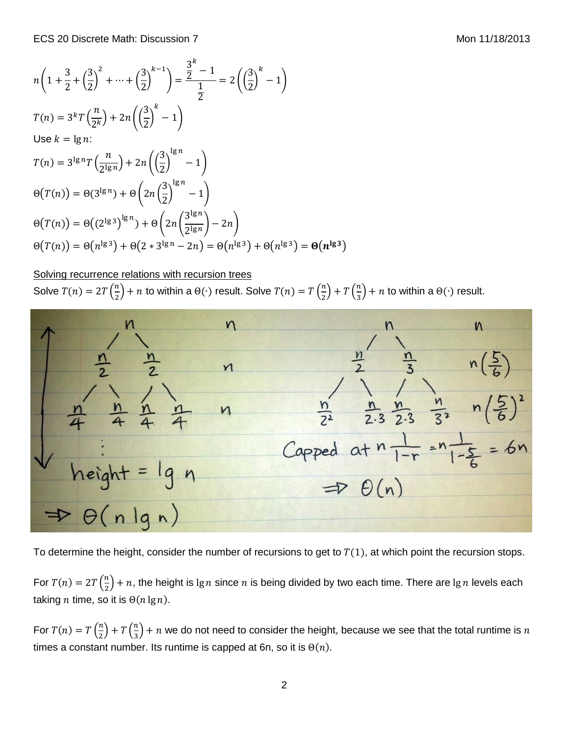$$
n\left(1+\frac{3}{2}+\left(\frac{3}{2}\right)^2+\dots+\left(\frac{3}{2}\right)^{k-1}\right) = \frac{\frac{3}{2}^k-1}{\frac{1}{2}} = 2\left(\left(\frac{3}{2}\right)^k-1\right)
$$
  
\n
$$
T(n) = 3^kT\left(\frac{n}{2^k}\right) + 2n\left(\left(\frac{3}{2}\right)^k-1\right)
$$
  
\nUse  $k = \lg n$ :  
\n
$$
T(n) = 3^{\lg n}T\left(\frac{n}{2^{\lg n}}\right) + 2n\left(\left(\frac{3}{2}\right)^{\lg n}-1\right)
$$
  
\n
$$
\Theta(T(n)) = \Theta(3^{\lg n}) + \Theta\left(2n\left(\frac{3}{2}\right)^{\lg n}-1\right)
$$
  
\n
$$
\Theta(T(n)) = \Theta((2^{\lg 3})^{\lg n}) + \Theta\left(2n\left(\frac{3^{\lg n}}{2^{\lg n}}\right) - 2n\right)
$$
  
\n
$$
\Theta(T(n)) = \Theta(n^{\lg 3}) + \Theta(2 * 3^{\lg n} - 2n) = \Theta(n^{\lg 3}) + \Theta(n^{\lg 3}) = \Theta(n^{\lg 3})
$$

## Solving recurrence relations with recursion trees

Solve  $T(n) = 2T\left(\frac{n}{2}\right)$  $\binom{n}{2}+n$  to within a  $\Theta(\cdot)$  result. Solve  $T(n)=T\left(\frac{n}{2}\right)$  $\binom{n}{2}$  + T  $\binom{n}{3}$  $\frac{n}{3}$ ) + *n* to within a  $\Theta(\cdot)$  result.



To determine the height, consider the number of recursions to get to  $T(1)$ , at which point the recursion stops.

For  $T(n) = 2T\left(\frac{n}{2}\right)$  $\frac{n}{2}$ ) + n, the height is lg n since n is being divided by two each time. There are lg n levels each taking *n* time, so it is  $\Theta(n \lg n)$ .

For  $T(n) = T\left(\frac{n}{2}\right)$  $\binom{n}{2}$  + T  $\binom{n}{3}$  $\frac{\pi}{3}$  +  $n$  we do not need to consider the height, because we see that the total runtime is  $n$ times a constant number. Its runtime is capped at 6n, so it is  $\Theta(n)$ .